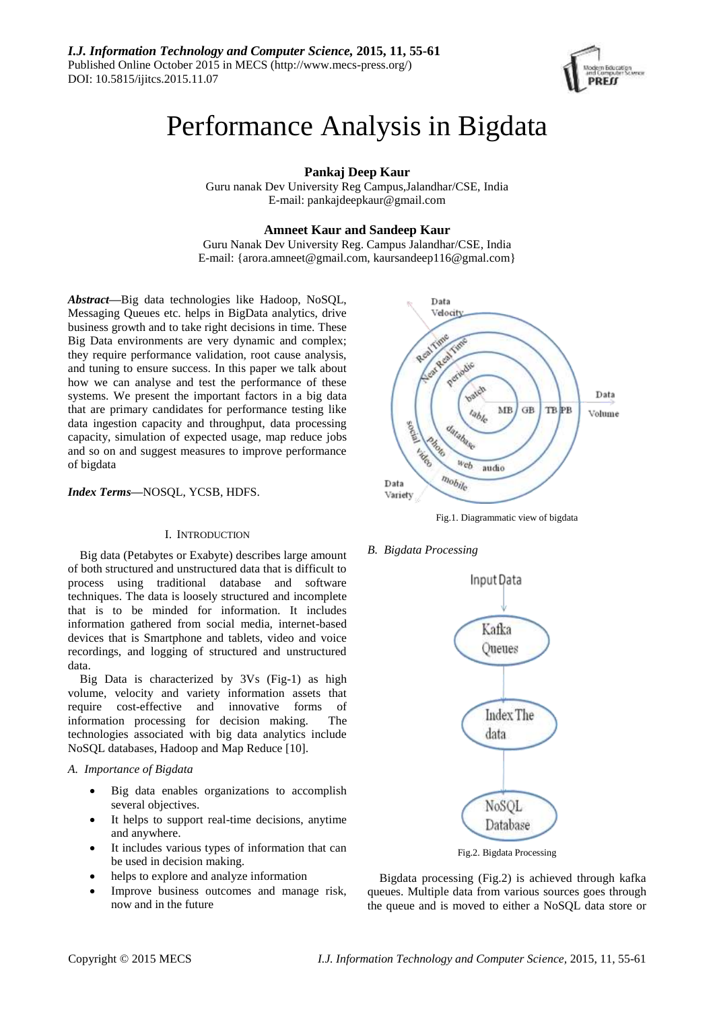

# Performance Analysis in Bigdata

**Pankaj Deep Kaur**

Guru nanak Dev University Reg Campus,Jalandhar/CSE, India E-mail: pankajdeepkaur@gmail.com

# **Amneet Kaur and Sandeep Kaur**

Guru Nanak Dev University Reg. Campus Jalandhar/CSE, India E-mail: [{arora.amneet@gmail.com,](mailto:%7Barora.amneet@gmail.com) kaursandeep116@gmal.com}

*Abstract***—**Big data technologies like Hadoop, NoSQL, Messaging Queues etc. helps in BigData analytics, drive business growth and to take right decisions in time. These Big Data environments are very dynamic and complex; they require performance validation, root cause analysis, and tuning to ensure success. In this paper we talk about how we can analyse and test the performance of these systems. We present the important factors in a big data that are primary candidates for performance testing like data ingestion capacity and throughput, data processing capacity, simulation of expected usage, map reduce jobs and so on and suggest measures to improve performance of bigdata

# *Index Terms***—**NOSQL, YCSB, HDFS.

#### I. INTRODUCTION

Big data (Petabytes or Exabyte) describes large amount of both structured and unstructured data that is difficult to process using traditional database and software techniques. The data is loosely structured and incomplete that is to be minded for information. It includes information gathered from social media, internet-based devices that is Smartphone and tablets, video and voice recordings, and logging of structured and unstructured data.

Big Data is characterized by 3Vs (Fig-1) as high volume, velocity and variety information assets that require cost-effective and innovative forms of information processing for decision making. The technologies associated with big data analytics include NoSQL databases, Hadoop and Map Reduce [10].

# *A. Importance of Bigdata*

- Big data enables organizations to accomplish several objectives.
- It helps to support real-time decisions, anytime and anywhere.
- It includes various types of information that can be used in decision making.
- helps to explore and analyze information
- Improve business outcomes and manage risk, now and in the future



Fig.1. Diagrammatic view of bigdata

*B. Bigdata Processing*



Fig.2. Bigdata Processing

Bigdata processing (Fig.2) is achieved through kafka queues. Multiple data from various sources goes through the queue and is moved to either a NoSQL data store or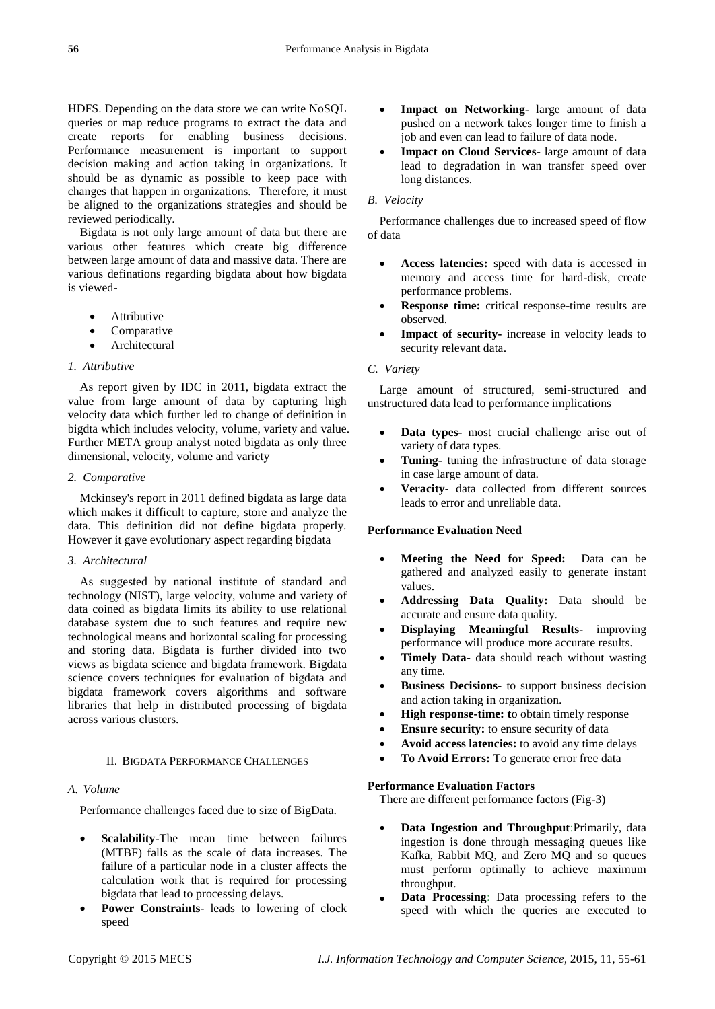HDFS. Depending on the data store we can write NoSQL queries or map reduce programs to extract the data and create reports for enabling business decisions. Performance measurement is important to support decision making and action taking in organizations. It should be as dynamic as possible to keep pace with changes that happen in organizations. Therefore, it must be aligned to the organizations strategies and should be reviewed periodically.

Bigdata is not only large amount of data but there are various other features which create big difference between large amount of data and massive data. There are various definations regarding bigdata about how bigdata is viewed-

- Attributive
- Comparative
- Architectural

## *1. Attributive*

As report given by IDC in 2011, bigdata extract the value from large amount of data by capturing high velocity data which further led to change of definition in bigdta which includes velocity, volume, variety and value. Further META group analyst noted bigdata as only three dimensional, velocity, volume and variety

# *2. Comparative*

Mckinsey's report in 2011 defined bigdata as large data which makes it difficult to capture, store and analyze the data. This definition did not define bigdata properly. However it gave evolutionary aspect regarding bigdata

#### *3. Architectural*

As suggested by national institute of standard and technology (NIST), large velocity, volume and variety of data coined as bigdata limits its ability to use relational database system due to such features and require new technological means and horizontal scaling for processing and storing data. Bigdata is further divided into two views as bigdata science and bigdata framework. Bigdata science covers techniques for evaluation of bigdata and bigdata framework covers algorithms and software libraries that help in distributed processing of bigdata across various clusters.

# II. BIGDATA PERFORMANCE CHALLENGES

#### *A. Volume*

Performance challenges faced due to size of BigData.

- **Scalability**-The mean time between failures (MTBF) falls as the scale of data increases. The failure of a particular node in a cluster affects the calculation work that is required for processing bigdata that lead to processing delays.
- **Power Constraints** leads to lowering of clock speed
- **Impact on Networking** large amount of data pushed on a network takes longer time to finish a job and even can lead to failure of data node.
- **Impact on Cloud Services** large amount of data lead to degradation in wan transfer speed over long distances.

### *B. Velocity*

Performance challenges due to increased speed of flow of data

- **Access latencies:** speed with data is accessed in memory and access time for hard-disk, create performance problems.
- **Response time:** critical response-time results are observed.
- **Impact of security-** increase in velocity leads to security relevant data.

### *C. Variety*

Large amount of structured, semi-structured and unstructured data lead to performance implications

- **Data types-** most crucial challenge arise out of variety of data types.
- **Tuning-** tuning the infrastructure of data storage in case large amount of data.
- **Veracity-** data collected from different sources leads to error and unreliable data.

### **Performance Evaluation Need**

- **Meeting the Need for Speed:** Data can be gathered and analyzed easily to generate instant values.
- **Addressing Data Quality:** Data should be accurate and ensure data quality.
- **Displaying Meaningful Results-** improving performance will produce more accurate results.
- **Timely Data-** data should reach without wasting any time.
- **Business Decisions-** to support business decision and action taking in organization.
- **High response-time: t**o obtain timely response
- **Ensure security:** to ensure security of data
- **Avoid access latencies:** to avoid any time delays
- **To Avoid Errors:** To generate error free data

### **Performance Evaluation Factors**

There are different performance factors (Fig-3)

- **Data Ingestion and Throughput**:Primarily, data ingestion is done through messaging queues like Kafka, Rabbit MQ, and Zero MQ and so queues must perform optimally to achieve maximum throughput.
- **Data Processing**: Data processing refers to the speed with which the queries are executed to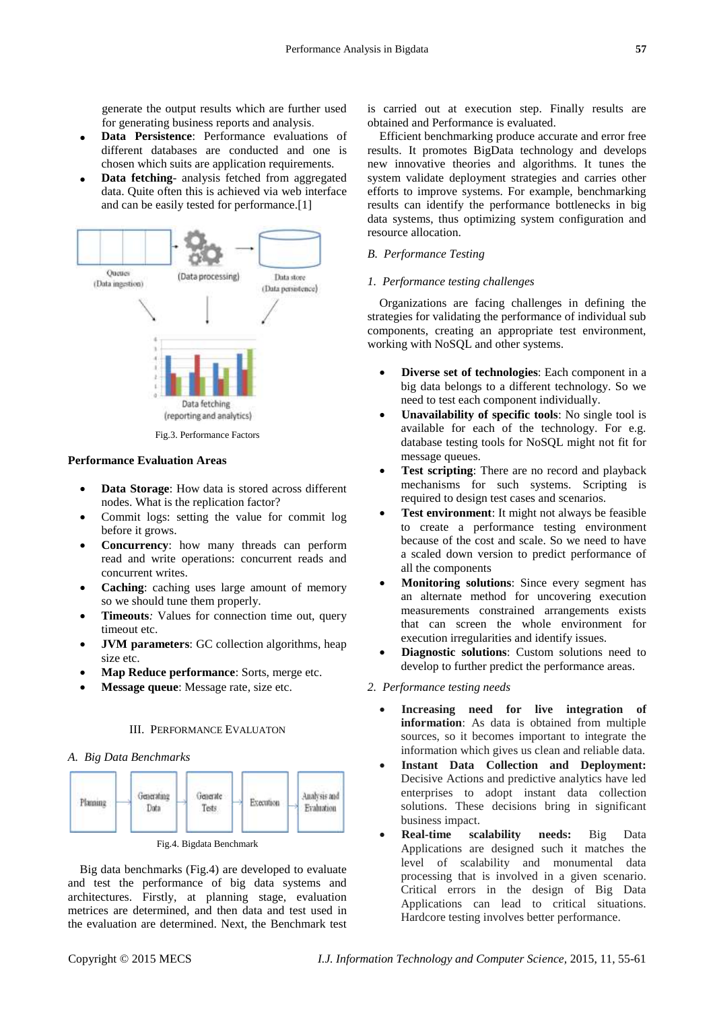generate the output results which are further used for generating business reports and analysis.

- **Data Persistence**: Performance evaluations of different databases are conducted and one is chosen which suits are application requirements.
- **Data fetching***-* analysis fetched from aggregated data. Quite often this is achieved via web interface and can be easily tested for performance.[1]



# **Performance Evaluation Areas**

- **Data Storage**: How data is stored across different nodes. What is the replication factor?
- Commit logs: setting the value for commit log before it grows.
- **Concurrency**: how many threads can perform read and write operations: concurrent reads and concurrent writes.
- **Caching**: caching uses large amount of memory so we should tune them properly.
- **Timeouts***:* Values for connection time out, query timeout etc.
- **JVM parameters**: GC collection algorithms, heap size etc.
- **Map Reduce performance**: Sorts, merge etc.
- **Message queue**: Message rate, size etc.

# III. PERFORMANCE EVALUATON

# *A. Big Data Benchmarks*



Fig.4. Bigdata Benchmark

Big data benchmarks (Fig.4) are developed to evaluate and test the performance of big data systems and architectures. Firstly, at planning stage, evaluation metrices are determined, and then data and test used in the evaluation are determined. Next, the Benchmark test is carried out at execution step. Finally results are obtained and Performance is evaluated.

Efficient benchmarking produce accurate and error free results. It promotes BigData technology and develops new innovative theories and algorithms. It tunes the system validate deployment strategies and carries other efforts to improve systems. For example, benchmarking results can identify the performance bottlenecks in big data systems, thus optimizing system configuration and resource allocation.

# *B. Performance Testing*

#### *1. Performance testing challenges*

Organizations are facing challenges in defining the strategies for validating the performance of individual sub components, creating an appropriate test environment, working with NoSQL and other systems.

- **Diverse set of technologies**: Each component in a big data belongs to a different technology. So we need to test each component individually.
- **Unavailability of specific tools**: No single tool is available for each of the technology. For e.g. database testing tools for NoSQL might not fit for message queues.
- **Test scripting**: There are no record and playback mechanisms for such systems. Scripting is required to design test cases and scenarios.
- **Test environment**: It might not always be feasible to create a performance testing environment because of the cost and scale. So we need to have a scaled down version to predict performance of all the components
- **Monitoring solutions**: Since every segment has an alternate method for uncovering execution measurements constrained arrangements exists that can screen the whole environment for execution irregularities and identify issues.
- **Diagnostic solutions**: Custom solutions need to develop to further predict the performance areas.

# *2. Performance testing needs*

- **Increasing need for live integration of information**: As data is obtained from multiple sources, so it becomes important to integrate the information which gives us clean and reliable data.
- **Instant Data Collection and Deployment:** Decisive Actions and predictive analytics have led enterprises to adopt instant data collection solutions. These decisions bring in significant business impact.
- **Real-time scalability needs:** Big Data Applications are designed such it matches the level of scalability and monumental data processing that is involved in a given scenario. Critical errors in the design of Big Data Applications can lead to critical situations. Hardcore testing involves better performance.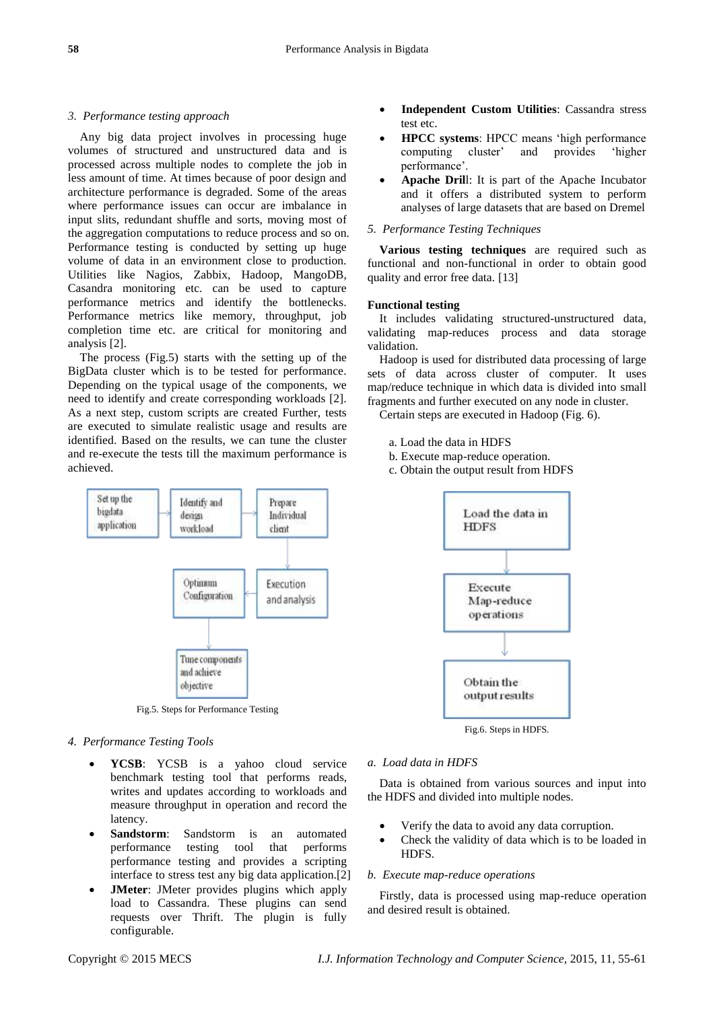# *3. Performance testing approach*

Any big data project involves in processing huge volumes of structured and unstructured data and is processed across multiple nodes to complete the job in less amount of time. At times because of poor design and architecture performance is degraded. Some of the areas where performance issues can occur are imbalance in input slits, redundant shuffle and sorts, moving most of the aggregation computations to reduce process and so on. Performance testing is conducted by setting up huge volume of data in an environment close to production. Utilities like Nagios, Zabbix, Hadoop, MangoDB, Casandra monitoring etc. can be used to capture performance metrics and identify the bottlenecks. Performance metrics like memory, throughput, job completion time etc. are critical for monitoring and analysis [2].

The process (Fig.5) starts with the setting up of the BigData cluster which is to be tested for performance. Depending on the typical usage of the components, we need to identify and create corresponding workloads [2]. As a next step, custom scripts are created Further, tests are executed to simulate realistic usage and results are identified. Based on the results, we can tune the cluster and re-execute the tests till the maximum performance is achieved.



Fig.5. Steps for Performance Testing

# *4. Performance Testing Tools*

- **YCSB**: YCSB is a yahoo cloud service benchmark testing tool that performs reads, writes and updates according to workloads and measure throughput in operation and record the latency.
- **Sandstorm**: Sandstorm is an automated performance testing tool that performs performance testing and provides a scripting interface to stress test any big data application.[2]
- **JMeter**: JMeter provides plugins which apply load to Cassandra. These plugins can send requests over Thrift. The plugin is fully configurable.
- **Independent Custom Utilities**: Cassandra stress test etc.
- **HPCC systems:** HPCC means 'high performance<br>computing cluster' and provides 'higher computing cluster' and provides 'higher performance'.
- **Apache Dril**l: It is part of the Apache [Incubator](http://incubator.apache.org/) and it offers a distributed system to perform analyses of large datasets that are based on Dremel

# *5. Performance Testing Techniques*

**Various testing techniques** are required such as functional and non-functional in order to obtain good quality and error free data. [13]

# **Functional testing**

It includes validating structured-unstructured data, validating map-reduces process and data storage validation.

Hadoop is used for distributed data processing of large sets of data across cluster of computer. It uses map/reduce technique in which data is divided into small fragments and further executed on any node in cluster.

Certain steps are executed in Hadoop (Fig. 6).

- a. Load the data in HDFS
- b. Execute map-reduce operation.
- c. Obtain the output result from HDFS



Fig.6. Steps in HDFS*.*

#### *a. Load data in HDFS*

Data is obtained from various sources and input into the HDFS and divided into multiple nodes.

- Verify the data to avoid any data corruption.
- Check the validity of data which is to be loaded in HDFS.

# *b. Execute map-reduce operations*

Firstly, data is processed using map-reduce operation and desired result is obtained.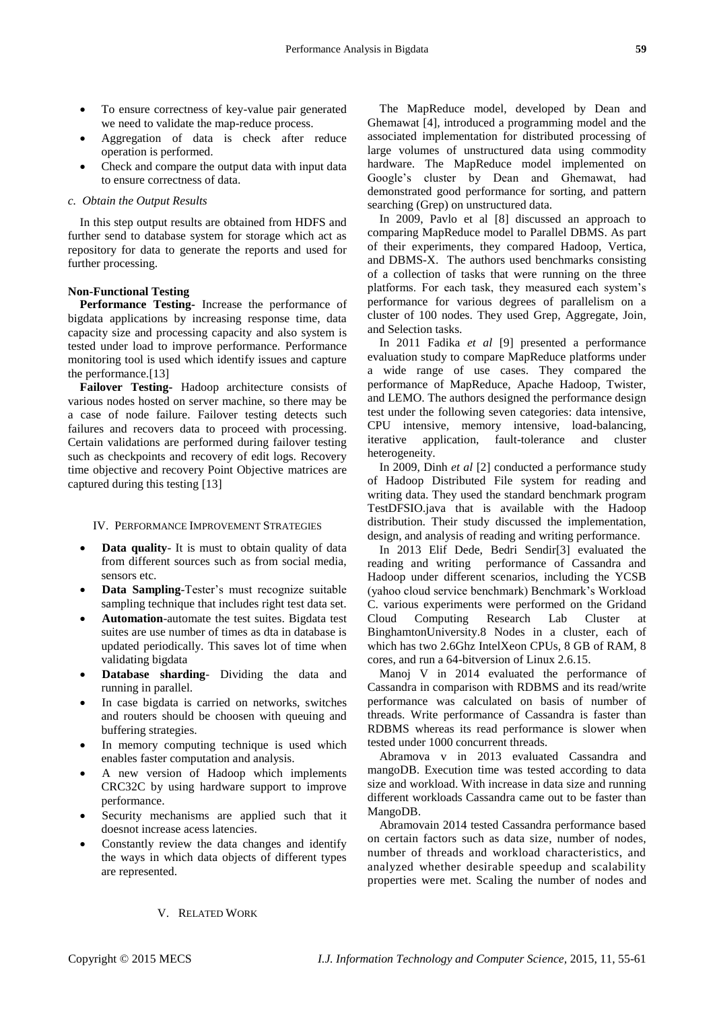- To ensure correctness of key-value pair generated we need to validate the map-reduce process.
- Aggregation of data is check after reduce operation is performed.
- Check and compare the output data with input data to ensure correctness of data.

# *c. Obtain the Output Results*

In this step output results are obtained from HDFS and further send to database system for storage which act as repository for data to generate the reports and used for further processing.

#### **Non-Functional Testing**

**Performance Testing-** Increase the performance of bigdata applications by increasing response time, data capacity size and processing capacity and also system is tested under load to improve performance. Performance monitoring tool is used which identify issues and capture the performance.[13]

**Failover Testing-** Hadoop architecture consists of various nodes hosted on server machine, so there may be a case of node failure. Failover testing detects such failures and recovers data to proceed with processing. Certain validations are performed during failover testing such as checkpoints and recovery of edit logs. Recovery time objective and recovery Point Objective matrices are captured during this testing [13]

#### IV. PERFORMANCE IMPROVEMENT STRATEGIES

- **Data quality** It is must to obtain quality of data from different sources such as from social media, sensors etc.
- **Data Sampling**-Tester's must recognize suitable sampling technique that includes right test data set.
- **Automation**-automate the test suites. Bigdata test suites are use number of times as dta in database is updated periodically. This saves lot of time when validating bigdata
- **Database sharding** Dividing the data and running in parallel.
- In case bigdata is carried on networks, switches and routers should be choosen with queuing and buffering strategies.
- In memory computing technique is used which enables faster computation and analysis.
- A new version of Hadoop which implements CRC32C by using hardware support to improve performance.
- Security mechanisms are applied such that it doesnot increase acess latencies.
- Constantly review the data changes and identify the ways in which data objects of different types are represented.

The MapReduce model, developed by Dean and Ghemawat [4], introduced a programming model and the associated implementation for distributed processing of large volumes of unstructured data using commodity hardware. The MapReduce model implemented on Google's cluster by Dean and Ghemawat, had demonstrated good performance for sorting, and pattern searching (Grep) on unstructured data.

In 2009, Pavlo et al [8] discussed an approach to comparing MapReduce model to Parallel DBMS. As part of their experiments, they compared Hadoop, Vertica, and DBMS-X. The authors used benchmarks consisting of a collection of tasks that were running on the three platforms. For each task, they measured each system's performance for various degrees of parallelism on a cluster of 100 nodes. They used Grep, Aggregate, Join, and Selection tasks.

In 2011 Fadika *et al* [9] presented a performance evaluation study to compare MapReduce platforms under a wide range of use cases. They compared the performance of MapReduce, Apache Hadoop, Twister, and LEMO. The authors designed the performance design test under the following seven categories: data intensive, CPU intensive, memory intensive, load-balancing, iterative application, fault-tolerance and cluster heterogeneity.

In 2009, Dinh *et al* [2] conducted a performance study of Hadoop Distributed File system for reading and writing data. They used the standard benchmark program TestDFSIO.java that is available with the Hadoop distribution. Their study discussed the implementation, design, and analysis of reading and writing performance.

In 2013 Elif Dede, Bedri Sendir[3] evaluated the reading and writing performance of Cassandra and Hadoop under different scenarios, including the YCSB (yahoo cloud service benchmark) Benchmark's Workload C. various experiments were performed on the Gridand Cloud Computing Research Lab Cluster at BinghamtonUniversity.8 Nodes in a cluster, each of which has two 2.6Ghz IntelXeon CPUs, 8 GB of RAM, 8 cores, and run a 64-bitversion of Linux 2.6.15.

Manoj V in 2014 evaluated the performance of Cassandra in comparison with RDBMS and its read/write performance was calculated on basis of number of threads. Write performance of Cassandra is faster than RDBMS whereas its read performance is slower when tested under 1000 concurrent threads.

Abramova v in 2013 evaluated Cassandra and mangoDB. Execution time was tested according to data size and workload. With increase in data size and running different workloads Cassandra came out to be faster than MangoDB.

Abramovain 2014 tested Cassandra performance based on certain factors such as data size, number of nodes, number of threads and workload characteristics, and analyzed whether desirable speedup and scalability properties were met. Scaling the number of nodes and

# V. RELATED WORK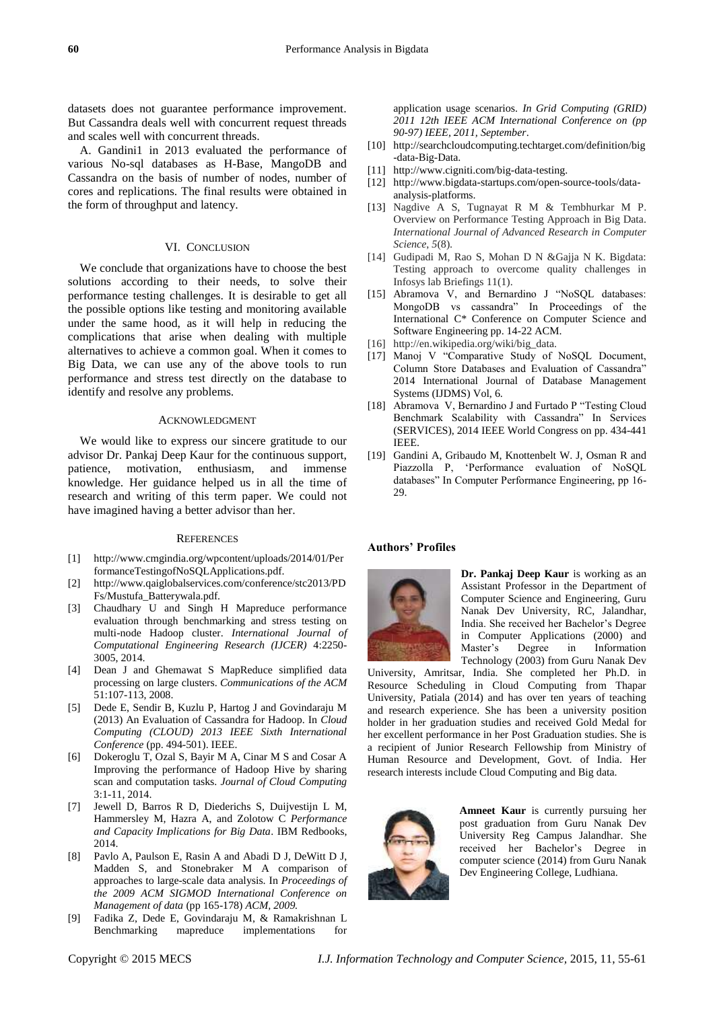datasets does not guarantee performance improvement. But Cassandra deals well with concurrent request threads and scales well with concurrent threads.

A. Gandini1 in 2013 evaluated the performance of various No-sql databases as H-Base, MangoDB and Cassandra on the basis of number of nodes, number of cores and replications. The final results were obtained in the form of throughput and latency.

# VI. CONCLUSION

We conclude that organizations have to choose the best solutions according to their needs, to solve their performance testing challenges. It is desirable to get all the possible options like testing and monitoring available under the same hood, as it will help in reducing the complications that arise when dealing with multiple alternatives to achieve a common goal. When it comes to Big Data, we can use any of the above tools to run performance and stress test directly on the database to identify and resolve any problems.

#### ACKNOWLEDGMENT

We would like to express our sincere gratitude to our advisor Dr. Pankaj Deep Kaur for the continuous support, patience, motivation, enthusiasm, and immense knowledge. Her guidance helped us in all the time of research and writing of this term paper. We could not have imagined having a better advisor than her.

#### **REFERENCES**

- [1] http://www.cmgindia.org/wpcontent/uploads/2014/01/Per formanceTestingofNoSQLApplications.pdf.
- [2] http://www.qaiglobalservices.com/conference/stc2013/PD Fs/Mustufa\_Batterywala.pdf.
- [3] Chaudhary U and Singh H Mapreduce performance evaluation through benchmarking and stress testing on multi-node Hadoop cluster. *International Journal of Computational Engineering Research (IJCER)* 4:2250- 3005, 2014.
- [4] Dean J and Ghemawat S MapReduce simplified data processing on large clusters. *Communications of the ACM* 51:107-113, 2008.
- [5] Dede E, Sendir B, Kuzlu P, Hartog J and Govindaraju M (2013) An Evaluation of Cassandra for Hadoop. In *Cloud Computing (CLOUD) 2013 IEEE Sixth International Conference* (pp. 494-501). IEEE.
- [6] Dokeroglu T, Ozal S, Bayir M A, Cinar M S and Cosar A Improving the performance of Hadoop Hive by sharing scan and computation tasks. *Journal of Cloud Computing* 3:1-11, 2014.
- [7] Jewell D, Barros R D, Diederichs S, Duijvestijn L M, Hammersley M, Hazra A, and Zolotow C *Performance and Capacity Implications for Big Data*. IBM Redbooks, 2014.
- [8] Pavlo A, Paulson E, Rasin A and Abadi D J, DeWitt D J, Madden S, and Stonebraker M A comparison of approaches to large-scale data analysis. In *Proceedings of the 2009 ACM SIGMOD International Conference on Management of data* (pp 165-178) *ACM, 2009.*
- [9] Fadika Z, Dede E, Govindaraju M, & Ramakrishnan L Benchmarking mapreduce implementations for

application usage scenarios. *In Grid Computing (GRID) 2011 12th IEEE ACM International Conference on (pp 90-97) IEEE, 2011, September*.

- [10] http://searchcloudcomputing.techtarget.com/definition/big -data-Big-Data.
- [11] http://www.cigniti.com/big-data-testing.
- [12] [http://www.bigdata-startups.com/open-source-tools/data](http://www.bigdata-startups.com/open-source-tools/data-analysis-platforms)[analysis-platforms.](http://www.bigdata-startups.com/open-source-tools/data-analysis-platforms)
- [13] Nagdive A S, Tugnayat R M & Tembhurkar M P. Overview on Performance Testing Approach in Big Data. *International Journal of Advanced Research in Computer Science*, *5*(8).
- [14] Gudipadi M, Rao S, Mohan D N &Gajja N K. Bigdata: Testing approach to overcome quality challenges in Infosys lab Briefings 11(1).
- [15] Abramova V, and Bernardino J "NoSQL databases: MongoDB vs cassandra" In Proceedings of the International C\* Conference on Computer Science and Software Engineering pp. 14-22 ACM.
- [16] http://en.wikipedia.org/wiki/big\_data.
- [17] Manoj V "Comparative Study of NoSQL Document, Column Store Databases and Evaluation of Cassandra" 2014 International Journal of Database Management Systems (IJDMS) Vol, 6.
- [18] Abramova V, Bernardino J and Furtado P "Testing Cloud Benchmark Scalability with Cassandra" In Services (SERVICES), 2014 IEEE World Congress on pp. 434-441 IEEE.
- [19] Gandini A, Gribaudo M, Knottenbelt W. J, Osman R and Piazzolla P, 'Performance evaluation of NoSQL databases" In Computer Performance Engineering, pp 16- 29.

#### **Authors' Profiles**



**Dr. Pankaj Deep Kaur** is working as an Assistant Professor in the Department of Computer Science and Engineering, Guru Nanak Dev University, RC, Jalandhar, India. She received her Bachelor's Degree in Computer Applications (2000) and Master's Degree in Information Technology (2003) from Guru Nanak Dev

University, Amritsar, India. She completed her Ph.D. in Resource Scheduling in Cloud Computing from Thapar University, Patiala (2014) and has over ten years of teaching and research experience. She has been a university position holder in her graduation studies and received Gold Medal for her excellent performance in her Post Graduation studies. She is a recipient of Junior Research Fellowship from Ministry of Human Resource and Development, Govt. of India. Her research interests include Cloud Computing and Big data.



**Amneet Kaur** is currently pursuing her post graduation from Guru Nanak Dev University Reg Campus Jalandhar. She received her Bachelor's Degree in computer science (2014) from Guru Nanak Dev Engineering College, Ludhiana.